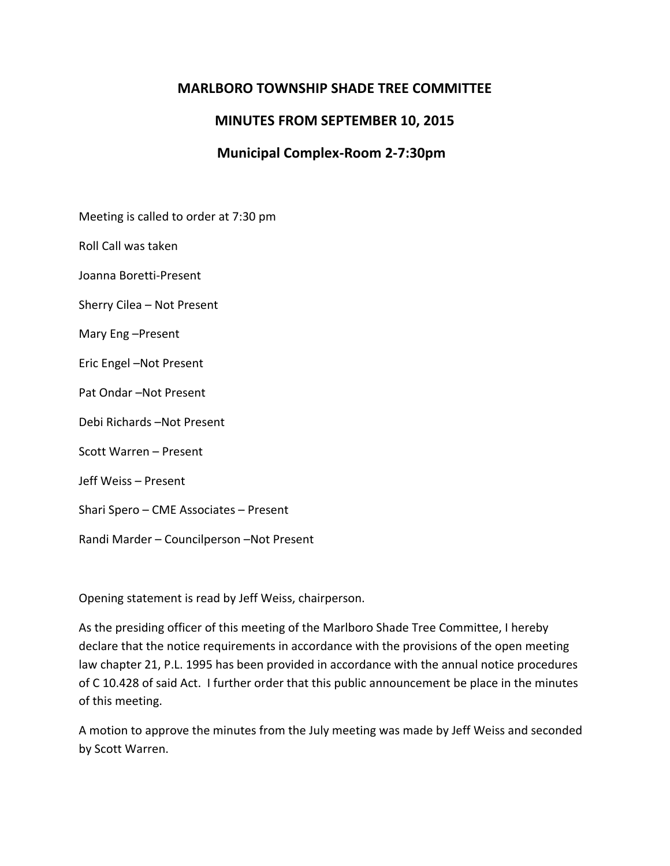### **MARLBORO TOWNSHIP SHADE TREE COMMITTEE**

# **MINUTES FROM SEPTEMBER 10, 2015**

# **Municipal Complex-Room 2-7:30pm**

Meeting is called to order at 7:30 pm

Roll Call was taken

Joanna Boretti-Present

Sherry Cilea – Not Present

Mary Eng –Present

Eric Engel –Not Present

Pat Ondar –Not Present

Debi Richards –Not Present

Scott Warren – Present

Jeff Weiss – Present

Shari Spero – CME Associates – Present

Randi Marder – Councilperson –Not Present

Opening statement is read by Jeff Weiss, chairperson.

As the presiding officer of this meeting of the Marlboro Shade Tree Committee, I hereby declare that the notice requirements in accordance with the provisions of the open meeting law chapter 21, P.L. 1995 has been provided in accordance with the annual notice procedures of C 10.428 of said Act. I further order that this public announcement be place in the minutes of this meeting.

A motion to approve the minutes from the July meeting was made by Jeff Weiss and seconded by Scott Warren.